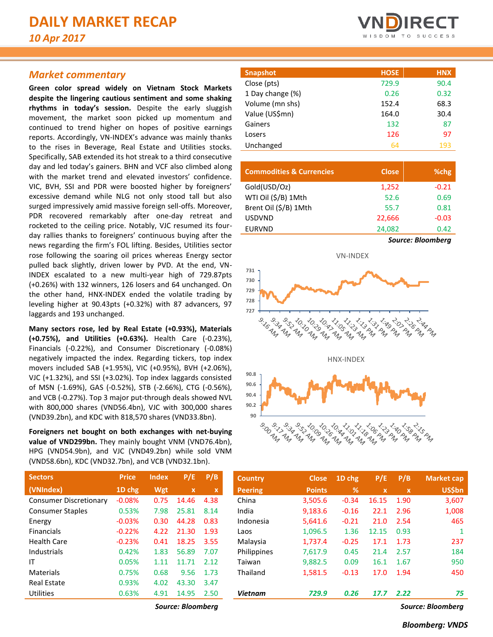# *Market commentary*

**Green color spread widely on Vietnam Stock Markets despite the lingering cautious sentiment and some shaking rhythms in today's session.** Despite the early sluggish movement, the market soon picked up momentum and continued to trend higher on hopes of positive earnings reports. Accordingly, VN-INDEX's advance was mainly thanks to the rises in Beverage, Real Estate and Utilities stocks. Specifically, SAB extended its hot streak to a third consecutive day and led today's gainers. BHN and VCF also climbed along with the market trend and elevated investors' confidence. VIC, BVH, SSI and PDR were boosted higher by foreigners' excessive demand while NLG not only stood tall but also surged impressively amid massive foreign sell-offs. Moreover, PDR recovered remarkably after one-day retreat and rocketed to the ceiling price. Notably, VJC resumed its fourday rallies thanks to foreigners' continuous buying after the news regarding the firm's FOL lifting. Besides, Utilities sector rose following the soaring oil prices whereas Energy sector pulled back slightly, driven lower by PVD. At the end, VN-INDEX escalated to a new multi-year high of 729.87pts (+0.26%) with 132 winners, 126 losers and 64 unchanged. On the other hand, HNX-INDEX ended the volatile trading by leveling higher at 90.43pts (+0.32%) with 87 advancers, 97 laggards and 193 unchanged.

**Many sectors rose, led by Real Estate (+0.93%), Materials (+0.75%), and Utilities (+0.63%).** Health Care (-0.23%), Financials (-0.22%), and Consumer Discretionary (-0.08%) negatively impacted the index. Regarding tickers, top index movers included SAB (+1.95%), VIC (+0.95%), BVH (+2.06%), VJC (+1.32%), and SSI (+3.02%). Top index laggards consisted of MSN (-1.69%), GAS (-0.52%), STB (-2.66%), CTG (-0.56%), and VCB (-0.27%). Top 3 major put-through deals showed NVL with 800,000 shares (VND56.4bn), VJC with 300,000 shares (VND39.2bn), and KDC with 818,570 shares (VND33.8bn).

**Foreigners net bought on both exchanges with net-buying value of VND299bn.** They mainly bought VNM (VND76.4bn), HPG (VND54.9bn), and VJC (VND49.2bn) while sold VNM (VND58.6bn), KDC (VND32.7bn), and VCB (VND32.1bn).

| <b>Sectors</b>                | <b>Price</b> | <b>Index</b> | P/E                       | P/B         | <b>Country</b> | <b>Close</b>  | $1D$ chg | P/E          | P/B         | <b>Market cap</b> |
|-------------------------------|--------------|--------------|---------------------------|-------------|----------------|---------------|----------|--------------|-------------|-------------------|
| (VNIndex)                     | 1D chg       | Wgt          | $\boldsymbol{\mathsf{x}}$ | $\mathbf x$ | <b>Peering</b> | <b>Points</b> | %        | $\mathbf{x}$ | $\mathbf x$ | <b>US\$bn</b>     |
| <b>Consumer Discretionary</b> | $-0.08%$     | 0.75         | 14.46                     | 4.38        | China          | 3,505.6       | $-0.34$  | 16.15        | 1.90        | 3,607             |
| <b>Consumer Staples</b>       | 0.53%        | 7.98         | 25.81                     | 8.14        | India          | 9,183.6       | $-0.16$  | 22.1         | 2.96        | 1,008             |
| Energy                        | $-0.03%$     | 0.30         | 44.28                     | 0.83        | Indonesia      | 5.641.6       | $-0.21$  | 21.0         | 2.54        | 465               |
| <b>Financials</b>             | $-0.22%$     | 4.22         | 21.30                     | 1.93        | Laos           | 1,096.5       | 1.36     | 12.15        | 0.93        |                   |
| <b>Health Care</b>            | $-0.23%$     | 0.41         | 18.25                     | 3.55        | Malaysia       | 1,737.4       | $-0.25$  | 17.1         | 1.73        | 237               |
| Industrials                   | 0.42%        | 1.83         | 56.89                     | 7.07        | Philippines    | 7.617.9       | 0.45     | 21.4         | 2.57        | 184               |
| ΙT                            | 0.05%        | 1.11         | 11.71                     | 2.12        | Taiwan         | 9,882.5       | 0.09     | 16.1         | 1.67        | 950               |
| <b>Materials</b>              | 0.75%        | 0.68         | 9.56                      | 1.73        | Thailand       | 1,581.5       | $-0.13$  | 17.0         | 1.94        | 450               |
| <b>Real Estate</b>            | 0.93%        | 4.02         | 43.30                     | 3.47        |                |               |          |              |             |                   |
| <b>Utilities</b>              | 0.63%        | 4.91         | 14.95                     | 2.50        | <b>Vietnam</b> | 729.9         | 0.26     | 17.7         | 2.22        | 75                |

*Source: Bloomberg Source: Bloomberg*



| <b>Snapshot</b>  | <b>HOSE</b> | <b>HNX</b> |
|------------------|-------------|------------|
| Close (pts)      | 729.9       | 90.4       |
| 1 Day change (%) | 0.26        | 0.32       |
| Volume (mn shs)  | 152.4       | 68.3       |
| Value (US\$mn)   | 164.0       | 30.4       |
| Gainers          | 132         | 87         |
| Losers           | 126         | 97         |
| Unchanged        | 64          | 193        |

| <b>Commodities &amp; Currencies</b> | <b>Close</b> | %chg                     |
|-------------------------------------|--------------|--------------------------|
| Gold(USD/Oz)                        | 1,252        | $-0.21$                  |
| WTI Oil (\$/B) 1Mth                 | 52.6         | 0.69                     |
| Brent Oil (\$/B) 1Mth               | 55.7         | 0.81                     |
| <b>USDVND</b>                       | 22,666       | $-0.03$                  |
| <b>EURVND</b>                       | 24,082       | 0.42                     |
|                                     |              | <b>Source: Bloomberg</b> |



| Sectors                       | <b>Price</b> | <b>Index</b> | P/E          | P/B         | <b>Country</b> | <b>Close</b>  | 1D chg  | P/E         | P/B                       | Market cap    |
|-------------------------------|--------------|--------------|--------------|-------------|----------------|---------------|---------|-------------|---------------------------|---------------|
| (VNIndex)                     | 1D chg       | Wgt          | $\mathbf{x}$ | $\mathbf x$ | <b>Peering</b> | <b>Points</b> | %       | $\mathbf x$ | $\boldsymbol{\mathsf{x}}$ | <b>US\$bn</b> |
| <b>Consumer Discretionary</b> | $-0.08%$     | 0.75         | 14.46        | 4.38        | China          | 3,505.6       | $-0.34$ | 16.15       | 1.90                      | 3,607         |
| <b>Consumer Staples</b>       | 0.53%        | 7.98         | 25.81        | 8.14        | India          | 9,183.6       | $-0.16$ | 22.1        | 2.96                      | 1,008         |
| Energy                        | $-0.03%$     | 0.30         | 44.28        | 0.83        | Indonesia      | 5,641.6       | $-0.21$ | 21.0        | 2.54                      | 465           |
| <b>Financials</b>             | $-0.22%$     | 4.22         | 21.30        | 1.93        | Laos           | 1,096.5       | 1.36    | 12.15       | 0.93                      |               |
| Health Care                   | $-0.23%$     | 0.41         | 18.25        | 3.55        | Malaysia       | 1,737.4       | $-0.25$ | 17.1        | 1.73                      | 237           |
| <b>Industrials</b>            | 0.42%        | 1.83         | 56.89        | 7.07        | Philippines    | 7.617.9       | 0.45    | 21.4        | 2.57                      | 184           |
| ΙT                            | 0.05%        | 1.11         | 11.71        | 2.12        | Taiwan         | 9.882.5       | 0.09    | 16.1        | 1.67                      | 950           |
| <b>Materials</b>              | 0.75%        | 0.68         | 9.56         | 1.73        | Thailand       | 1,581.5       | $-0.13$ | 17.0        | 1.94                      | 450           |
| <b>Real Estate</b>            | 0.93%        | 4.02         | 43.30        | 3.47        |                |               |         |             |                           |               |
| <b>Utilities</b>              | 0.63%        | 4.91         | 14.95        | 2.50        | Vietnam        | 729.9         | 0.26    | 17.7        | 2.22                      | 75            |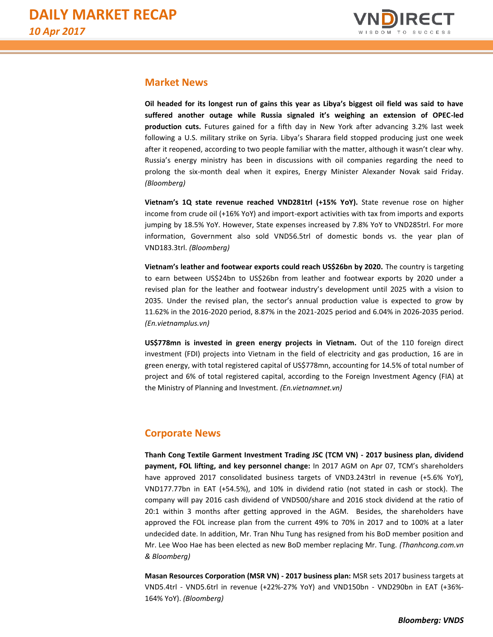

# **Market News**

**Oil headed for its longest run of gains this year as Libya's biggest oil field was said to have suffered another outage while Russia signaled it's weighing an extension of OPEC-led production cuts.** Futures gained for a fifth day in New York after advancing 3.2% last week following a U.S. military strike on Syria. Libya's Sharara field stopped producing just one week after it reopened, according to two people familiar with the matter, although it wasn't clear why. Russia's energy ministry has been in discussions with oil companies regarding the need to prolong the six-month deal when it expires, Energy Minister Alexander Novak said Friday. *(Bloomberg)*

**Vietnam's 1Q state revenue reached VND281trl (+15% YoY).** State revenue rose on higher income from crude oil (+16% YoY) and import-export activities with tax from imports and exports jumping by 18.5% YoY. However, State expenses increased by 7.8% YoY to VND285trl. For more information, Government also sold VND56.5trl of domestic bonds vs. the year plan of VND183.3trl. *(Bloomberg)*

**Vietnam's leather and footwear exports could reach US\$26bn by 2020.** The country is targeting to earn between US\$24bn to US\$26bn from leather and footwear exports by 2020 under a revised plan for the leather and footwear industry's development until 2025 with a vision to 2035. Under the revised plan, the sector's annual production value is expected to grow by 11.62% in the 2016-2020 period, 8.87% in the 2021-2025 period and 6.04% in 2026-2035 period. *(En.vietnamplus.vn)*

**US\$778mn is invested in green energy projects in Vietnam.** Out of the 110 foreign direct investment (FDI) projects into Vietnam in the field of electricity and gas production, 16 are in green energy, with total registered capital of US\$778mn, accounting for 14.5% of total number of project and 6% of total registered capital, according to the Foreign Investment Agency (FIA) at the Ministry of Planning and Investment*. (En.vietnamnet.vn)*

# **Corporate News**

**Thanh Cong Textile Garment Investment Trading JSC (TCM VN) - 2017 business plan, dividend payment, FOL lifting, and key personnel change:** In 2017 AGM on Apr 07, TCM's shareholders have approved 2017 consolidated business targets of VND3.243trl in revenue (+5.6% YoY), VND177.77bn in EAT (+54.5%), and 10% in dividend ratio (not stated in cash or stock). The company will pay 2016 cash dividend of VND500/share and 2016 stock dividend at the ratio of 20:1 within 3 months after getting approved in the AGM. Besides, the shareholders have approved the FOL increase plan from the current 49% to 70% in 2017 and to 100% at a later undecided date. In addition, Mr. Tran Nhu Tung has resigned from his BoD member position and Mr. Lee Woo Hae has been elected as new BoD member replacing Mr. Tung. *(Thanhcong.com.vn & Bloomberg)*

**Masan Resources Corporation (MSR VN) - 2017 business plan:** MSR sets 2017 business targets at VND5.4trl - VND5.6trl in revenue (+22%-27% YoY) and VND150bn - VND290bn in EAT (+36%- 164% YoY). *(Bloomberg)*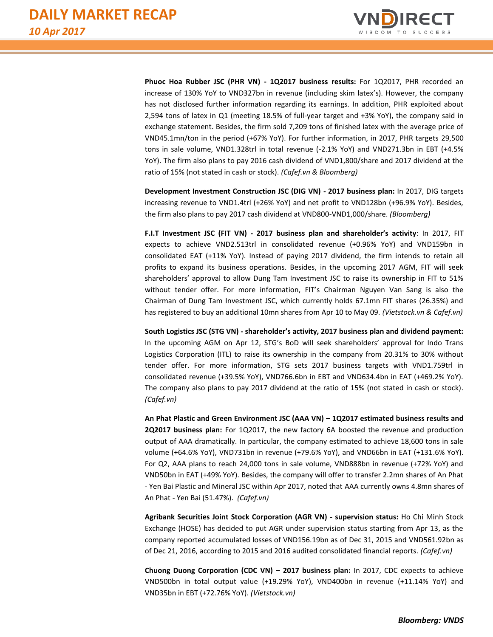

**Phuoc Hoa Rubber JSC (PHR VN) - 1Q2017 business results:** For 1Q2017, PHR recorded an increase of 130% YoY to VND327bn in revenue (including skim latex's). However, the company has not disclosed further information regarding its earnings. In addition, PHR exploited about 2,594 tons of latex in Q1 (meeting 18.5% of full-year target and +3% YoY), the company said in exchange statement. Besides, the firm sold 7,209 tons of finished latex with the average price of VND45.1mn/ton in the period (+67% YoY). For further information, in 2017, PHR targets 29,500 tons in sale volume, VND1.328trl in total revenue (-2.1% YoY) and VND271.3bn in EBT (+4.5% YoY). The firm also plans to pay 2016 cash dividend of VND1,800/share and 2017 dividend at the ratio of 15% (not stated in cash or stock). *(Cafef.vn & Bloomberg)*

**Development Investment Construction JSC (DIG VN) - 2017 business plan:** In 2017, DIG targets increasing revenue to VND1.4trl (+26% YoY) and net profit to VND128bn (+96.9% YoY). Besides, the firm also plans to pay 2017 cash dividend at VND800-VND1,000/share. *(Bloomberg)*

**F.I.T Investment JSC (FIT VN) - 2017 business plan and shareholder's activity**: In 2017, FIT expects to achieve VND2.513trl in consolidated revenue (+0.96% YoY) and VND159bn in consolidated EAT (+11% YoY). Instead of paying 2017 dividend, the firm intends to retain all profits to expand its business operations. Besides, in the upcoming 2017 AGM, FIT will seek shareholders' approval to allow Dung Tam Investment JSC to raise its ownership in FIT to 51% without tender offer. For more information, FIT's Chairman Nguyen Van Sang is also the Chairman of Dung Tam Investment JSC, which currently holds 67.1mn FIT shares (26.35%) and has registered to buy an additional 10mn shares from Apr 10 to May 09. *(Vietstock.vn & Cafef.vn)*

**South Logistics JSC (STG VN) - shareholder's activity, 2017 business plan and dividend payment:**  In the upcoming AGM on Apr 12, STG's BoD will seek shareholders' approval for Indo Trans Logistics Corporation (ITL) to raise its ownership in the company from 20.31% to 30% without tender offer. For more information, STG sets 2017 business targets with VND1.759trl in consolidated revenue (+39.5% YoY), VND766.6bn in EBT and VND634.4bn in EAT (+469.2% YoY). The company also plans to pay 2017 dividend at the ratio of 15% (not stated in cash or stock). *(Cafef.vn)*

**An Phat Plastic and Green Environment JSC (AAA VN) – 1Q2017 estimated business results and 2Q2017 business plan:** For 1Q2017, the new factory 6A boosted the revenue and production output of AAA dramatically. In particular, the company estimated to achieve 18,600 tons in sale volume (+64.6% YoY), VND731bn in revenue (+79.6% YoY), and VND66bn in EAT (+131.6% YoY). For Q2, AAA plans to reach 24,000 tons in sale volume, VND888bn in revenue (+72% YoY) and VND50bn in EAT (+49% YoY). Besides, the company will offer to transfer 2.2mn shares of An Phat - Yen Bai Plastic and Mineral JSC within Apr 2017, noted that AAA currently owns 4.8mn shares of An Phat - Yen Bai (51.47%). *(Cafef.vn)*

**Agribank Securities Joint Stock Corporation (AGR VN) - supervision status:** Ho Chi Minh Stock Exchange (HOSE) has decided to put AGR under supervision status starting from Apr 13, as the company reported accumulated losses of VND156.19bn as of Dec 31, 2015 and VND561.92bn as of Dec 21, 2016, according to 2015 and 2016 audited consolidated financial reports. *(Cafef.vn)*

**Chuong Duong Corporation (CDC VN) – 2017 business plan:** In 2017, CDC expects to achieve VND500bn in total output value (+19.29% YoY), VND400bn in revenue (+11.14% YoY) and VND35bn in EBT (+72.76% YoY). *(Vietstock.vn)*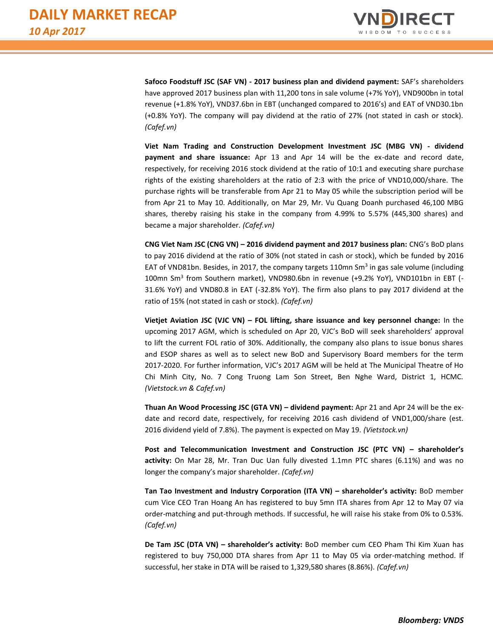

**Safoco Foodstuff JSC (SAF VN) - 2017 business plan and dividend payment:** SAF's shareholders have approved 2017 business plan with 11,200 tons in sale volume (+7% YoY), VND900bn in total revenue (+1.8% YoY), VND37.6bn in EBT (unchanged compared to 2016's) and EAT of VND30.1bn (+0.8% YoY). The company will pay dividend at the ratio of 27% (not stated in cash or stock). *(Cafef.vn)*

**Viet Nam Trading and Construction Development Investment JSC (MBG VN) - dividend payment and share issuance:** Apr 13 and Apr 14 will be the ex-date and record date, respectively, for receiving 2016 stock dividend at the ratio of 10:1 and executing share purchase rights of the existing shareholders at the ratio of 2:3 with the price of VND10,000/share. The purchase rights will be transferable from Apr 21 to May 05 while the subscription period will be from Apr 21 to May 10. Additionally, on Mar 29, Mr. Vu Quang Doanh purchased 46,100 MBG shares, thereby raising his stake in the company from 4.99% to 5.57% (445,300 shares) and became a major shareholder. *(Cafef.vn)*

**CNG Viet Nam JSC (CNG VN) – 2016 dividend payment and 2017 business plan:** CNG's BoD plans to pay 2016 dividend at the ratio of 30% (not stated in cash or stock), which be funded by 2016 EAT of VND81bn. Besides, in 2017, the company targets 110mn Sm<sup>3</sup> in gas sale volume (including 100mn Sm<sup>3</sup> from Southern market), VND980.6bn in revenue (+9.2% YoY), VND101bn in EBT (-31.6% YoY) and VND80.8 in EAT (-32.8% YoY). The firm also plans to pay 2017 dividend at the ratio of 15% (not stated in cash or stock). *(Cafef.vn)*

**Vietjet Aviation JSC (VJC VN) – FOL lifting, share issuance and key personnel change:** In the upcoming 2017 AGM, which is scheduled on Apr 20, VJC's BoD will seek shareholders' approval to lift the current FOL ratio of 30%. Additionally, the company also plans to issue bonus shares and ESOP shares as well as to select new BoD and Supervisory Board members for the term 2017-2020. For further information, VJC's 2017 AGM will be held at The Municipal Theatre of Ho Chi Minh City, No. 7 Cong Truong Lam Son Street, Ben Nghe Ward, District 1, HCMC. *(Vietstock.vn & Cafef.vn)*

**Thuan An Wood Processing JSC (GTA VN) – dividend payment:** Apr 21 and Apr 24 will be the exdate and record date, respectively, for receiving 2016 cash dividend of VND1,000/share (est. 2016 dividend yield of 7.8%). The payment is expected on May 19. *(Vietstock.vn)*

**Post and Telecommunication Investment and Construction JSC (PTC VN) – shareholder's activity:** On Mar 28, Mr. Tran Duc Uan fully divested 1.1mn PTC shares (6.11%) and was no longer the company's major shareholder. *(Cafef.vn)*

**Tan Tao Investment and Industry Corporation (ITA VN) – shareholder's activity:** BoD member cum Vice CEO Tran Hoang An has registered to buy 5mn ITA shares from Apr 12 to May 07 via order-matching and put-through methods. If successful, he will raise his stake from 0% to 0.53%. *(Cafef.vn)*

**De Tam JSC (DTA VN) – shareholder's activity:** BoD member cum CEO Pham Thi Kim Xuan has registered to buy 750,000 DTA shares from Apr 11 to May 05 via order-matching method. If successful, her stake in DTA will be raised to 1,329,580 shares (8.86%). *(Cafef.vn)*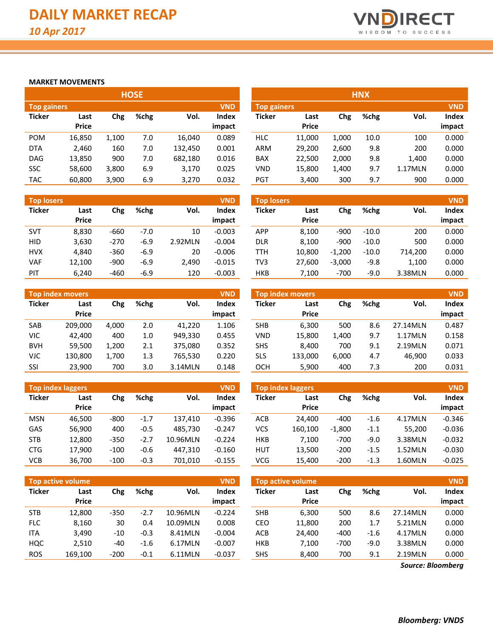

## **MARKET MOVEMENTS**

|                    |              |       | <b>HOSE</b> |         |              |                    |              |       | <b>HNX</b> |         |            |
|--------------------|--------------|-------|-------------|---------|--------------|--------------------|--------------|-------|------------|---------|------------|
| <b>Top gainers</b> |              |       |             |         | <b>VND</b>   | <b>Top gainers</b> |              |       |            |         | <b>VND</b> |
| <b>Ticker</b>      | Last         | Chg   | %chg        | Vol.    | <b>Index</b> | <b>Ticker</b>      | Last         | Chg   | %chg       | Vol.    | Index      |
|                    | <b>Price</b> |       |             |         | impact       |                    | <b>Price</b> |       |            |         | impact     |
| <b>POM</b>         | 16,850       | 1,100 | 7.0         | 16,040  | 0.089        | <b>HLC</b>         | 11.000       | 1,000 | 10.0       | 100     | 0.000      |
| <b>DTA</b>         | 2,460        | 160   | 7.0         | 132,450 | 0.001        | <b>ARM</b>         | 29,200       | 2,600 | 9.8        | 200     | 0.000      |
| <b>DAG</b>         | 13,850       | 900   | 7.0         | 682,180 | 0.016        | <b>BAX</b>         | 22,500       | 2,000 | 9.8        | 1,400   | 0.000      |
| <b>SSC</b>         | 58,600       | 3,800 | 6.9         | 3,170   | 0.025        | <b>VND</b>         | 15,800       | 1,400 | 9.7        | 1.17MLN | 0.000      |
| <b>TAC</b>         | 60,800       | 3,900 | 6.9         | 3,270   | 0.032        | <b>PGT</b>         | 3,400        | 300   | 9.7        | 900     | 0.000      |

| <b>Top losers</b> |              |        |        |         | <b>VND</b>   |
|-------------------|--------------|--------|--------|---------|--------------|
| <b>Ticker</b>     | Last         | Chg    | %chg   | Vol.    | <b>Index</b> |
|                   | <b>Price</b> |        |        |         | impact       |
| <b>SVT</b>        | 8,830        | -660   | $-7.0$ | 10      | $-0.003$     |
| HID               | 3,630        | $-270$ | $-6.9$ | 2.92MLN | $-0.004$     |
| <b>HVX</b>        | 4,840        | $-360$ | $-6.9$ | 20      | $-0.006$     |
| VAF               | 12,100       | $-900$ | $-6.9$ | 2,490   | $-0.015$     |
| PIT               | 6,240        | -460   | $-6.9$ | 120     | $-0.003$     |

| <b>VND</b><br><b>Top index movers</b> |              |       |      |         |        |  |  |  |  |  |  |
|---------------------------------------|--------------|-------|------|---------|--------|--|--|--|--|--|--|
| <b>Ticker</b>                         | Last         | Chg   | %chg | Vol.    | Index  |  |  |  |  |  |  |
|                                       | <b>Price</b> |       |      |         | impact |  |  |  |  |  |  |
| <b>SAB</b>                            | 209,000      | 4,000 | 2.0  | 41,220  | 1.106  |  |  |  |  |  |  |
| VIC                                   | 42,400       | 400   | 1.0  | 949,330 | 0.455  |  |  |  |  |  |  |
| <b>BVH</b>                            | 59,500       | 1,200 | 2.1  | 375,080 | 0.352  |  |  |  |  |  |  |
| VJC                                   | 130,800      | 1,700 | 1.3  | 765,530 | 0.220  |  |  |  |  |  |  |
| SSI                                   | 23,900       | 700   | 3.0  | 3.14MLN | 0.148  |  |  |  |  |  |  |

|               | <b>Top index laggers</b> |        |        |          | <b>VND</b> |
|---------------|--------------------------|--------|--------|----------|------------|
| <b>Ticker</b> | Last                     | Chg    | %chg   | Vol.     | Index      |
|               | <b>Price</b>             |        |        |          | impact     |
| MSN           | 46,500                   | -800   | $-1.7$ | 137,410  | $-0.396$   |
| GAS           | 56,900                   | 400    | $-0.5$ | 485,730  | $-0.247$   |
| <b>STB</b>    | 12,800                   | $-350$ | $-2.7$ | 10.96MLN | $-0.224$   |
| <b>CTG</b>    | 17,900                   | $-100$ | $-0.6$ | 447,310  | $-0.160$   |
| VCB           | 36,700                   | $-100$ | $-0.3$ | 701,010  | $-0.155$   |

|                    |              |       | .    |         |            |             |              |       | .    |         |            |
|--------------------|--------------|-------|------|---------|------------|-------------|--------------|-------|------|---------|------------|
| <b>Top gainers</b> |              |       |      |         | <b>VND</b> | Top gainers |              |       |      |         | <b>VND</b> |
| Ticker             | Last         | Chg   | %chg | Vol.    | Index      | Ticker      | Last         | Chg   | %chg | Vol.    | Index      |
|                    | <b>Price</b> |       |      |         | impact     |             | <b>Price</b> |       |      |         | impact     |
| POM                | 16,850       | 1.100 | 7.0  | 16,040  | 0.089      | <b>HLC</b>  | 11.000       | 1,000 | 10.0 | 100     | 0.000      |
| <b>DTA</b>         | 2,460        | 160   | 7.0  | 132.450 | 0.001      | <b>ARM</b>  | 29.200       | 2,600 | 9.8  | 200     | 0.000      |
| DAG                | 13,850       | 900   | 7.0  | 682,180 | 0.016      | <b>BAX</b>  | 22,500       | 2,000 | 9.8  | 1,400   | 0.000      |
| SSC                | 58,600       | 3,800 | 6.9  | 3,170   | 0.025      | VND         | 15,800       | 1,400 | 9.7  | 1.17MLN | 0.000      |
| TAC                | 60,800       | 3.900 | 6.9  | 3,270   | 0.032      | PGT         | 3,400        | 300   | 9.7  | 900     | 0.000      |

| <b>Top losers</b> |                      |        |        |         | <b>VND</b>             | <b>Top losers</b> |                      |          |         |         | <b>VND</b>      |
|-------------------|----------------------|--------|--------|---------|------------------------|-------------------|----------------------|----------|---------|---------|-----------------|
| Ticker            | Last<br><b>Price</b> | Chg    | %chg   | Vol.    | <b>Index</b><br>impact | <b>Ticker</b>     | Last<br><b>Price</b> | Chg      | %chg    | Vol.    | Index<br>impact |
| SVT               | 8,830                | $-660$ | $-7.0$ | 10      | $-0.003$               | APP               | 8.100                | $-900$   | $-10.0$ | 200     | 0.000           |
| <b>HID</b>        | 3,630                | $-270$ | $-6.9$ | 2.92MLN | $-0.004$               | <b>DLR</b>        | 8.100                | $-900$   | $-10.0$ | 500     | 0.000           |
| <b>HVX</b>        | 4.840                | $-360$ | $-6.9$ | 20      | $-0.006$               | TTH               | 10.800               | $-1.200$ | $-10.0$ | 714.200 | 0.000           |
| VAF               | 12,100               | $-900$ | $-6.9$ | 2,490   | $-0.015$               | TV3               | 27.600               | $-3.000$ | $-9.8$  | 1,100   | 0.000           |
| PIT               | 6.240                | $-460$ | $-6.9$ | 120     | $-0.003$               | HKB               | 7,100                | $-700$   | $-9.0$  | 3.38MLN | 0.000           |

|            | <b>Top index movers</b> |       |      |         | <b>VND</b>   |            | <b>Top index movers</b> |       |      |          | <b>VND</b> |
|------------|-------------------------|-------|------|---------|--------------|------------|-------------------------|-------|------|----------|------------|
| Ticker     | Last                    | Chg   | %chg | Vol.    | <b>Index</b> | Ticker     | Last                    | Chg   | %chg | Vol.     | Index      |
|            | <b>Price</b>            |       |      |         | impact       |            | <b>Price</b>            |       |      |          | impact     |
| SAB        | 209.000                 | 4.000 | 2.0  | 41.220  | 1.106        | <b>SHB</b> | 6.300                   | 500   | 8.6  | 27.14MLN | 0.487      |
| VIC        | 42.400                  | 400   | 1.0  | 949.330 | 0.455        | <b>VND</b> | 15,800                  | 1.400 | 9.7  | 1.17MLN  | 0.158      |
| <b>BVH</b> | 59.500                  | 1.200 | 2.1  | 375.080 | 0.352        | SHS        | 8.400                   | 700   | 9.1  | 2.19MLN  | 0.071      |
| VJC        | 130,800                 | 1.700 | 1.3  | 765.530 | 0.220        | SLS        | 133.000                 | 6,000 | 4.7  | 46,900   | 0.033      |
| SSI        | 23,900                  | 700   | 3.0  | 3.14MLN | 0.148        | осн        | 5,900                   | 400   | 7.3  | 200      | 0.031      |

| <b>Top index laggers</b> |                      |        |        |          | <b>VND</b>      |               | Top index laggers    |          |        |         | <b>VND</b>             |
|--------------------------|----------------------|--------|--------|----------|-----------------|---------------|----------------------|----------|--------|---------|------------------------|
| Ticker                   | Last<br><b>Price</b> | Chg    | %chg   | Vol.     | Index<br>impact | <b>Ticker</b> | Last<br><b>Price</b> | Chg      | %chg   | Vol.    | <b>Index</b><br>impact |
| MSN                      | 46.500               | $-800$ | $-1.7$ | 137.410  | $-0.396$        | <b>ACB</b>    | 24.400               | $-400$   | $-1.6$ | 4.17MLN | $-0.346$               |
| GAS                      | 56,900               | 400    | $-0.5$ | 485.730  | $-0.247$        | VCS           | 160.100              | $-1,800$ | $-1.1$ | 55.200  | $-0.036$               |
| <b>STB</b>               | 12,800               | $-350$ | $-2.7$ | 10.96MLN | $-0.224$        | <b>HKB</b>    | 7.100                | $-700$   | $-9.0$ | 3.38MLN | $-0.032$               |
| <b>CTG</b>               | 17,900               | $-100$ | $-0.6$ | 447,310  | $-0.160$        | <b>HUT</b>    | 13,500               | $-200$   | $-1.5$ | 1.52MLN | $-0.030$               |
| VCB                      | 36,700               | $-100$ | $-0.3$ | 701,010  | $-0.155$        | <b>VCG</b>    | 15,400               | $-200$   | $-1.3$ | 1.60MLN | $-0.025$               |

|            | <b>Top active volume</b> |        |        |          | <b>VND</b>             | <b>Top active volume</b> |                      |        |        |          |                        |  |
|------------|--------------------------|--------|--------|----------|------------------------|--------------------------|----------------------|--------|--------|----------|------------------------|--|
| Ticker     | Last<br><b>Price</b>     | Chg    | %chg   | Vol.     | <b>Index</b><br>impact | <b>Ticker</b>            | Last<br><b>Price</b> | Chg    | %chg   | Vol.     | <b>Index</b><br>impact |  |
| <b>STB</b> | 12,800                   | $-350$ | $-2.7$ | 10.96MLN | $-0.224$               | <b>SHB</b>               | 6,300                | 500    | 8.6    | 27.14MLN | 0.000                  |  |
| <b>FLC</b> | 8,160                    | 30     | 0.4    | 10.09MLN | 0.008                  | CEO                      | 11,800               | 200    | 1.7    | 5.21MLN  | 0.000                  |  |
| <b>ITA</b> | 3,490                    | $-10$  | $-0.3$ | 8.41MLN  | $-0.004$               | ACB                      | 24.400               | $-400$ | $-1.6$ | 4.17MLN  | 0.000                  |  |
| HQC        | 2,510                    | -40    | $-1.6$ | 6.17MLN  | $-0.007$               | HKB                      | 7.100                | $-700$ | $-9.0$ | 3.38MLN  | 0.000                  |  |
| <b>ROS</b> | 169,100                  | $-200$ | $-0.1$ | 6.11MLN  | $-0.037$               | SHS                      | 8,400                | 700    | 9.1    | 2.19MLN  | 0.000                  |  |

*Source: Bloomberg*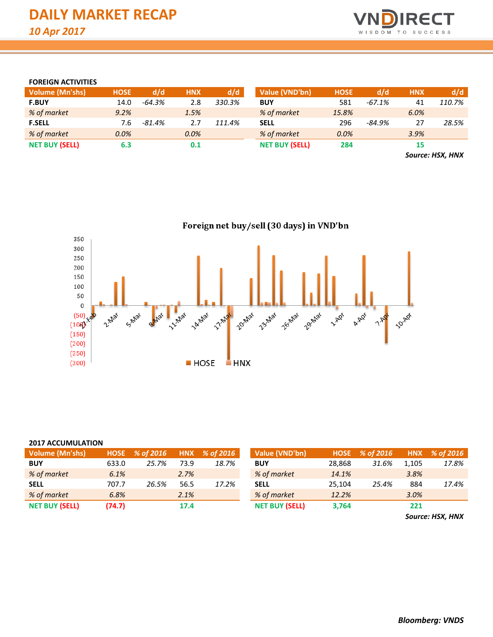

# **FOREIGN ACTIVITIES**

| <b>Volume (Mn'shs)</b> | <b>HOSE</b> | d/d       | <b>HNX</b> | d/d    | Value (VND'bn)        | <b>HOSE</b> | d/d      | <b>HNX</b> | d/d         |
|------------------------|-------------|-----------|------------|--------|-----------------------|-------------|----------|------------|-------------|
| <b>F.BUY</b>           | 14.0        | $-64.3%$  | 2.8        | 330.3% | <b>BUY</b>            | 581         | $-67.1%$ | 41         | 110.7%      |
| % of market            | 9.2%        |           | 1.5%       |        | % of market           | 15.8%       |          | 6.0%       |             |
| <b>F.SELL</b>          | 7.6         | $-81.4\%$ | 2.7        | 111.4% | <b>SELL</b>           | 296         | -84.9%   | 27         | 28.5%       |
| % of market            | 0.0%        |           | $0.0\%$    |        | % of market           | 0.0%        |          | 3.9%       |             |
| <b>NET BUY (SELL)</b>  | 6.3         |           | 0.1        |        | <b>NET BUY (SELL)</b> | 284         |          | 15         |             |
|                        |             |           |            |        |                       |             |          |            | $P = 1.101$ |

*Source: HSX, HNX*



#### **2017 ACCUMULATION**

| <b>Volume (Mn'shs)</b> | HNX % of 2016<br>% of 2016<br><b>HOSE</b> |       | Value (VND'bn) | <b>HOSE</b> | % of 2016             | <b>HNX</b> | % of 2016 |       |       |
|------------------------|-------------------------------------------|-------|----------------|-------------|-----------------------|------------|-----------|-------|-------|
| <b>BUY</b>             | 633.0                                     | 25.7% | 73.9           | 18.7%       | <b>BUY</b>            | 28.868     | 31.6%     | 1.105 | 17.8% |
| % of market            | 6.1%                                      |       | 2.7%           |             | % of market           | 14.1%      |           | 3.8%  |       |
| <b>SELL</b>            | 707.7                                     | 26.5% | 56.5           | 17.2%       | <b>SELL</b>           | 25.104     | 25.4%     | 884   | 17.4% |
| % of market            | 6.8%                                      |       | 2.1%           |             | % of market           | 12.2%      |           | 3.0%  |       |
| <b>NET BUY (SELL)</b>  | (74.7)                                    |       | 17.4           |             | <b>NET BUY (SELL)</b> | 3,764      |           | 221   |       |

*Source: HSX, HNX*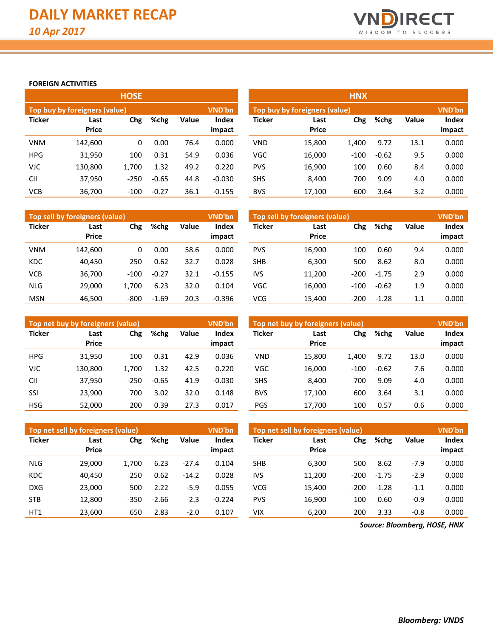

# **FOREIGN ACTIVITIES**

|               |                               | <b>HOSE</b> |         |       |                 | <b>HNX</b>    |                                         |        |         |       |                 |  |  |  |
|---------------|-------------------------------|-------------|---------|-------|-----------------|---------------|-----------------------------------------|--------|---------|-------|-----------------|--|--|--|
|               | Top buy by foreigners (value) |             |         |       | VND'bn          |               | Top buy by foreigners (value)<br>VND'bn |        |         |       |                 |  |  |  |
| <b>Ticker</b> | Last<br><b>Price</b>          | Chg         | %chg    | Value | Index<br>impact | <b>Ticker</b> | Last<br><b>Price</b>                    | Chg    | %chg    | Value | Index<br>impact |  |  |  |
| <b>VNM</b>    | 142,600                       | 0           | 0.00    | 76.4  | 0.000           | <b>VND</b>    | 15,800                                  | 1.400  | 9.72    | 13.1  | 0.000           |  |  |  |
| <b>HPG</b>    | 31,950                        | 100         | 0.31    | 54.9  | 0.036           | VGC           | 16,000                                  | $-100$ | $-0.62$ | 9.5   | 0.000           |  |  |  |
| VJC           | 130,800                       | 1,700       | 1.32    | 49.2  | 0.220           | <b>PVS</b>    | 16,900                                  | 100    | 0.60    | 8.4   | 0.000           |  |  |  |
| <b>CII</b>    | 37,950                        | $-250$      | $-0.65$ | 44.8  | $-0.030$        | <b>SHS</b>    | 8,400                                   | 700    | 9.09    | 4.0   | 0.000           |  |  |  |
| <b>VCB</b>    | 36,700                        | $-100$      | $-0.27$ | 36.1  | $-0.155$        | <b>BVS</b>    | 17,100                                  | 600    | 3.64    | 3.2   | 0.000           |  |  |  |

|               | Top sell by foreigners (value) |             |         |       | <b>VND'bn</b>          | VND'bn<br>Top sell by foreigners (value) |                      |        |         |              |                        |
|---------------|--------------------------------|-------------|---------|-------|------------------------|------------------------------------------|----------------------|--------|---------|--------------|------------------------|
| <b>Ticker</b> | Last<br><b>Price</b>           | %chg<br>Chg |         | Value | <b>Index</b><br>impact | <b>Ticker</b>                            | Last<br><b>Price</b> | Chg    | %chg    | <b>Value</b> | <b>Index</b><br>impact |
| <b>VNM</b>    | 142.600                        | 0           | 0.00    | 58.6  | 0.000                  | <b>PVS</b>                               | 16,900               | 100    | 0.60    | 9.4          | 0.000                  |
| <b>KDC</b>    | 40.450                         | 250         | 0.62    | 32.7  | 0.028                  | <b>SHB</b>                               | 6,300                | 500    | 8.62    | 8.0          | 0.000                  |
| <b>VCB</b>    | 36,700                         | $-100$      | $-0.27$ | 32.1  | $-0.155$               | IVS                                      | 11,200               | $-200$ | $-1.75$ | 2.9          | 0.000                  |
| <b>NLG</b>    | 29.000                         | 1.700       | 6.23    | 32.0  | 0.104                  | <b>VGC</b>                               | 16,000               | $-100$ | $-0.62$ | 1.9          | 0.000                  |
| <b>MSN</b>    | 46.500                         | $-800$      | $-1.69$ | 20.3  | $-0.396$               | <b>VCG</b>                               | 15.400               | $-200$ | $-1.28$ | 1.1          | 0.000                  |

|               | Top net buy by foreigners (value) |        |         |       | <b>VND'bn</b>   | Top net buy by foreigners (value) | <b>VND'bn</b>        |        |         |              |                 |
|---------------|-----------------------------------|--------|---------|-------|-----------------|-----------------------------------|----------------------|--------|---------|--------------|-----------------|
| <b>Ticker</b> | Last<br><b>Price</b>              | Chg    | %chg    | Value | Index<br>impact | Ticker                            | Last<br><b>Price</b> | Chg    | %chg    | <b>Value</b> | Index<br>impact |
| <b>HPG</b>    | 31,950                            | 100    | 0.31    | 42.9  | 0.036           | <b>VND</b>                        | 15,800               | 1,400  | 9.72    | 13.0         | 0.000           |
| <b>VJC</b>    | 130.800                           | 1.700  | 1.32    | 42.5  | 0.220           | <b>VGC</b>                        | 16,000               | $-100$ | $-0.62$ | 7.6          | 0.000           |
| <b>CII</b>    | 37,950                            | $-250$ | $-0.65$ | 41.9  | $-0.030$        | <b>SHS</b>                        | 8,400                | 700    | 9.09    | 4.0          | 0.000           |
| SSI           | 23,900                            | 700    | 3.02    | 32.0  | 0.148           | <b>BVS</b>                        | 17,100               | 600    | 3.64    | 3.1          | 0.000           |
| <b>HSG</b>    | 52,000                            | 200    | 0.39    | 27.3  | 0.017           | PGS                               | 17,700               | 100    | 0.57    | 0.6          | 0.000           |

|               | Top net sell by foreigners (value) |        |         |         | <b>VND'bn</b>          | Top net sell by foreigners (value) | <b>VND'bn</b>        |        |         |              |        |
|---------------|------------------------------------|--------|---------|---------|------------------------|------------------------------------|----------------------|--------|---------|--------------|--------|
| <b>Ticker</b> | Last<br><b>Price</b>               | Chg    | %chg    | Value   | <b>Index</b><br>impact | <b>Ticker</b>                      | Last<br><b>Price</b> | Chg    | %chg    | <b>Value</b> | Index  |
|               |                                    |        |         |         |                        |                                    |                      |        |         |              | impact |
| <b>NLG</b>    | 29.000                             | 1.700  | 6.23    | $-27.4$ | 0.104                  | <b>SHB</b>                         | 6,300                | 500    | 8.62    | $-7.9$       | 0.000  |
| KDC           | 40.450                             | 250    | 0.62    | $-14.2$ | 0.028                  | IVS                                | 11,200               | $-200$ | $-1.75$ | $-2.9$       | 0.000  |
| <b>DXG</b>    | 23.000                             | 500    | 2.22    | $-5.9$  | 0.055                  | <b>VCG</b>                         | 15.400               | $-200$ | $-1.28$ | $-1.1$       | 0.000  |
| <b>STB</b>    | 12.800                             | $-350$ | $-2.66$ | $-2.3$  | $-0.224$               | <b>PVS</b>                         | 16.900               | 100    | 0.60    | $-0.9$       | 0.000  |
| HT1           | 23,600                             | 650    | 2.83    | $-2.0$  | 0.107                  | VIX                                | 6,200                | 200    | 3.33    | $-0.8$       | 0.000  |

*Source: Bloomberg, HOSE, HNX*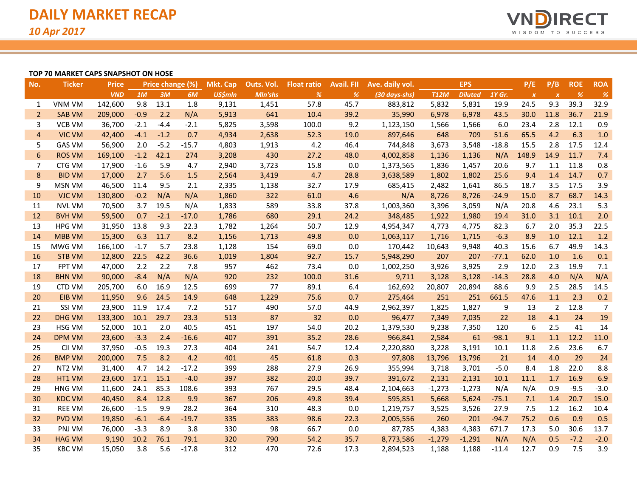

### **TOP 70 MARKET CAPS SNAPSHOT ON HOSE**

| No.            | <b>Ticker</b> | <b>Price</b> |        | Price change (%) |         | <b>Mkt. Cap</b> | Outs. Vol. | <b>Float ratio</b> | Avail. Fll | Ave. daily vol. |             | <b>EPS</b>     |         | P/E              | P/B              | <b>ROE</b> | <b>ROA</b>     |
|----------------|---------------|--------------|--------|------------------|---------|-----------------|------------|--------------------|------------|-----------------|-------------|----------------|---------|------------------|------------------|------------|----------------|
|                |               | <b>VND</b>   | 1M     | 3M               | 6M      | <b>US\$mln</b>  | Mln'shs    | %                  | %          | (30 days-shs)   | <b>T12M</b> | <b>Diluted</b> | 1Y Gr.  | $\boldsymbol{x}$ | $\boldsymbol{X}$ | %          | $\frac{9}{6}$  |
| 1              | <b>VNM VM</b> | 142,600      | 9.8    | 13.1             | 1.8     | 9,131           | 1,451      | 57.8               | 45.7       | 883,812         | 5,832       | 5,831          | 19.9    | 24.5             | 9.3              | 39.3       | 32.9           |
| $\overline{2}$ | <b>SAB VM</b> | 209,000      | $-0.9$ | 2.2              | N/A     | 5,913           | 641        | 10.4               | 39.2       | 35,990          | 6,978       | 6,978          | 43.5    | 30.0             | 11.8             | 36.7       | 21.9           |
| 3              | <b>VCB VM</b> | 36,700       | $-2.1$ | $-4.4$           | $-2.1$  | 5,825           | 3,598      | 100.0              | 9.2        | 1,123,150       | 1,566       | 1,566          | 6.0     | 23.4             | 2.8              | 12.1       | 0.9            |
| $\overline{4}$ | <b>VIC VM</b> | 42,400       | $-4.1$ | $-1.2$           | 0.7     | 4,934           | 2,638      | 52.3               | 19.0       | 897,646         | 648         | 709            | 51.6    | 65.5             | 4.2              | 6.3        | 1.0            |
| 5              | <b>GAS VM</b> | 56,900       | 2.0    | $-5.2$           | $-15.7$ | 4,803           | 1,913      | 4.2                | 46.4       | 744,848         | 3,673       | 3,548          | $-18.8$ | 15.5             | 2.8              | 17.5       | 12.4           |
| 6              | <b>ROS VM</b> | 169,100      | $-1.2$ | 42.1             | 274     | 3,208           | 430        | 27.2               | 48.0       | 4,002,858       | 1,136       | 1,136          | N/A     | 148.9            | 14.9             | 11.7       | 7.4            |
| 7              | CTG VM        | 17,900       | $-1.6$ | 5.9              | 4.7     | 2,940           | 3,723      | 15.8               | 0.0        | 1,373,565       | 1,836       | 1,457          | 20.6    | 9.7              | 1.1              | 11.8       | 0.8            |
| $\bf 8$        | <b>BID VM</b> | 17,000       | 2.7    | 5.6              | 1.5     | 2,564           | 3,419      | 4.7                | 28.8       | 3,638,589       | 1,802       | 1,802          | 25.6    | 9.4              | 1.4              | 14.7       | 0.7            |
| 9              | MSN VM        | 46,500       | 11.4   | 9.5              | 2.1     | 2,335           | 1,138      | 32.7               | 17.9       | 685,415         | 2,482       | 1,641          | 86.5    | 18.7             | 3.5              | 17.5       | 3.9            |
| 10             | <b>VJC VM</b> | 130,800      | $-0.2$ | N/A              | N/A     | 1,860           | 322        | 61.0               | 4.6        | N/A             | 8,726       | 8,726          | $-24.9$ | 15.0             | 8.7              | 68.7       | 14.3           |
| 11             | <b>NVL VM</b> | 70,500       | 3.7    | 19.5             | N/A     | 1,833           | 589        | 33.8               | 37.8       | 1,003,360       | 3,396       | 3,059          | N/A     | 20.8             | 4.6              | 23.1       | 5.3            |
| 12             | <b>BVH VM</b> | 59,500       | 0.7    | $-2.1$           | $-17.0$ | 1,786           | 680        | 29.1               | 24.2       | 348,485         | 1,922       | 1,980          | 19.4    | 31.0             | 3.1              | 10.1       | 2.0            |
| 13             | <b>HPG VM</b> | 31,950       | 13.8   | 9.3              | 22.3    | 1,782           | 1,264      | 50.7               | 12.9       | 4,954,347       | 4,773       | 4,775          | 82.3    | 6.7              | 2.0              | 35.3       | 22.5           |
| 14             | <b>MBB VM</b> | 15,300       | 6.3    | 11.7             | 8.2     | 1,156           | 1,713      | 49.8               | 0.0        | 1,063,117       | 1,716       | 1,715          | $-6.3$  | 8.9              | 1.0              | 12.1       | 1.2            |
| 15             | MWG VM        | 166,100      | $-1.7$ | 5.7              | 23.8    | 1,128           | 154        | 69.0               | 0.0        | 170,442         | 10,643      | 9,948          | 40.3    | 15.6             | 6.7              | 49.9       | 14.3           |
| 16             | <b>STB VM</b> | 12,800       | 22.5   | 42.2             | 36.6    | 1,019           | 1,804      | 92.7               | 15.7       | 5,948,290       | 207         | 207            | $-77.1$ | 62.0             | 1.0              | 1.6        | 0.1            |
| 17             | <b>FPT VM</b> | 47,000       | 2.2    | 2.2              | 7.8     | 957             | 462        | 73.4               | 0.0        | 1,002,250       | 3,926       | 3,925          | 2.9     | 12.0             | 2.3              | 19.9       | 7.1            |
| 18             | <b>BHN VM</b> | 90,000       | $-8.4$ | N/A              | N/A     | 920             | 232        | 100.0              | 31.6       | 9,711           | 3,128       | 3,128          | $-14.3$ | 28.8             | 4.0              | N/A        | N/A            |
| 19             | CTD VM        | 205,700      | 6.0    | 16.9             | 12.5    | 699             | 77         | 89.1               | 6.4        | 162,692         | 20,807      | 20,894         | 88.6    | 9.9              | 2.5              | 28.5       | 14.5           |
| 20             | EIB VM        | 11,950       | 9.6    | 24.5             | 14.9    | 648             | 1,229      | 75.6               | 0.7        | 275,464         | 251         | 251            | 661.5   | 47.6             | 1.1              | 2.3        | 0.2            |
| 21             | SSI VM        | 23,900       | 11.9   | 17.4             | 7.2     | 517             | 490        | 57.0               | 44.9       | 2,962,397       | 1,825       | 1,827          | 9       | 13               | 2                | 12.8       | $\overline{7}$ |
| 22             | <b>DHG VM</b> | 133,300      | 10.1   | 29.7             | 23.3    | 513             | 87         | 32                 | 0.0        | 96,477          | 7,349       | 7,035          | 22      | 18               | 4.1              | 24         | 19             |
| 23             | <b>HSG VM</b> | 52,000       | 10.1   | 2.0              | 40.5    | 451             | 197        | 54.0               | 20.2       | 1,379,530       | 9,238       | 7,350          | 120     | 6                | 2.5              | 41         | 14             |
| 24             | <b>DPM VM</b> | 23,600       | $-3.3$ | 2.4              | $-16.6$ | 407             | 391        | 35.2               | 28.6       | 966,841         | 2,584       | 61             | $-98.1$ | 9.1              | 1.1              | 12.2       | 11.0           |
| 25             | CII VM        | 37,950       | $-0.5$ | 19.3             | 27.3    | 404             | 241        | 54.7               | 12.4       | 2,220,880       | 3,228       | 3,191          | 10.1    | 11.8             | 2.6              | 23.6       | 6.7            |
| 26             | <b>BMP VM</b> | 200,000      | 7.5    | 8.2              | 4.2     | 401             | 45         | 61.8               | 0.3        | 97,808          | 13,796      | 13,796         | 21      | 14               | 4.0              | 29         | 24             |
| 27             | NT2 VM        | 31,400       | 4.7    | 14.2             | $-17.2$ | 399             | 288        | 27.9               | 26.9       | 355,994         | 3,718       | 3,701          | $-5.0$  | 8.4              | 1.8              | 22.0       | 8.8            |
| 28             | HT1 VM        | 23,600       | 17.1   | 15.1             | $-4.0$  | 397             | 382        | 20.0               | 39.7       | 391,672         | 2,131       | 2,131          | 10.1    | 11.1             | 1.7              | 16.9       | 6.9            |
| 29             | <b>HNG VM</b> | 11,600       | 24.1   | 85.3             | 108.6   | 393             | 767        | 29.5               | 48.4       | 2,104,663       | $-1,273$    | $-1,273$       | N/A     | N/A              | 0.9              | $-9.5$     | $-3.0$         |
| 30             | <b>KDC VM</b> | 40,450       | 8.4    | 12.8             | 9.9     | 367             | 206        | 49.8               | 39.4       | 595,851         | 5,668       | 5,624          | $-75.1$ | 7.1              | 1.4              | 20.7       | 15.0           |
| 31             | <b>REE VM</b> | 26,600       | $-1.5$ | 9.9              | 28.2    | 364             | 310        | 48.3               | 0.0        | 1,219,757       | 3,525       | 3,526          | 27.9    | 7.5              | 1.2              | 16.2       | 10.4           |
| 32             | <b>PVD VM</b> | 19,850       | $-6.1$ | $-6.4$           | $-19.7$ | 335             | 383        | 98.6               | 22.3       | 2,005,556       | 260         | 201            | $-94.7$ | 75.2             | 0.6              | 0.9        | 0.5            |
| 33             | PNJ VM        | 76,000       | $-3.3$ | 8.9              | 3.8     | 330             | 98         | 66.7               | 0.0        | 87,785          | 4,383       | 4,383          | 671.7   | 17.3             | 5.0              | 30.6       | 13.7           |
| 34             | <b>HAG VM</b> | 9,190        | 10.2   | 76.1             | 79.1    | 320             | 790        | 54.2               | 35.7       | 8,773,586       | $-1,279$    | $-1,291$       | N/A     | N/A              | 0.5              | $-7.2$     | $-2.0$         |
| 35             | <b>KBC VM</b> | 15,050       | 3.8    | 5.6              | $-17.8$ | 312             | 470        | 72.6               | 17.3       | 2,894,523       | 1,188       | 1,188          | $-11.4$ | 12.7             | 0.9              | 7.5        | 3.9            |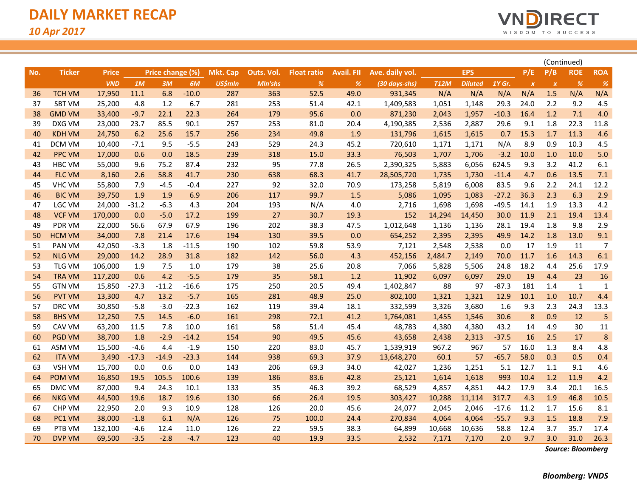

|     |               |              |         |                  |         |                |            |                    |                   |                           |             | (Continued)    |         |                  |                           |              |             |
|-----|---------------|--------------|---------|------------------|---------|----------------|------------|--------------------|-------------------|---------------------------|-------------|----------------|---------|------------------|---------------------------|--------------|-------------|
| No. | <b>Ticker</b> | <b>Price</b> |         | Price change (%) |         | Mkt. Cap       | Outs. Vol. | <b>Float ratio</b> | <b>Avail. FII</b> | Ave. daily vol.           |             | <b>EPS</b>     |         | P/E              | P/B                       | <b>ROE</b>   | <b>ROA</b>  |
|     |               | <b>VND</b>   | 1M      | 3M               | 6M      | <b>US\$mln</b> | Mln'shs    | %                  | %                 | $(30 \, days\text{-}shs)$ | <b>T12M</b> | <b>Diluted</b> | 1Y Gr.  | $\boldsymbol{X}$ | $\boldsymbol{\mathsf{x}}$ | %            | %           |
| 36  | <b>TCH VM</b> | 17,950       | 11.1    | 6.8              | $-10.0$ | 287            | 363        | 52.5               | 49.0              | 931,345                   | N/A         | N/A            | N/A     | N/A              | 1.5                       | N/A          | N/A         |
| 37  | <b>SBT VM</b> | 25,200       | 4.8     | 1.2              | 6.7     | 281            | 253        | 51.4               | 42.1              | 1,409,583                 | 1,051       | 1,148          | 29.3    | 24.0             | 2.2                       | 9.2          | 4.5         |
| 38  | <b>GMD VM</b> | 33,400       | $-9.7$  | 22.1             | 22.3    | 264            | 179        | 95.6               | 0.0               | 871,230                   | 2,043       | 1,957          | $-10.3$ | 16.4             | 1.2                       | 7.1          | 4.0         |
| 39  | DXG VM        | 23,000       | 23.7    | 85.5             | 90.1    | 257            | 253        | 81.0               | 20.4              | 4,190,385                 | 2,536       | 2,887          | 29.6    | 9.1              | 1.8                       | 22.3         | 11.8        |
| 40  | <b>KDH VM</b> | 24,750       | 6.2     | 25.6             | 15.7    | 256            | 234        | 49.8               | 1.9               | 131,796                   | 1,615       | 1,615          | 0.7     | 15.3             | 1.7                       | 11.3         | 4.6         |
| 41  | DCM VM        | 10,400       | $-7.1$  | 9.5              | $-5.5$  | 243            | 529        | 24.3               | 45.2              | 720,610                   | 1,171       | 1,171          | N/A     | 8.9              | 0.9                       | 10.3         | 4.5         |
| 42  | <b>PPC VM</b> | 17,000       | 0.6     | 0.0              | 18.5    | 239            | 318        | 15.0               | 33.3              | 76,503                    | 1,707       | 1,706          | $-3.2$  | 10.0             | 1.0                       | 10.0         | 5.0         |
| 43  | <b>HBC VM</b> | 55,000       | 9.6     | 75.2             | 87.4    | 232            | 95         | 77.8               | 26.5              | 2,390,325                 | 5,883       | 6,056          | 624.5   | 9.3              | 3.2                       | 41.2         | 6.1         |
| 44  | <b>FLC VM</b> | 8,160        | 2.6     | 58.8             | 41.7    | 230            | 638        | 68.3               | 41.7              | 28,505,720                | 1,735       | 1,730          | $-11.4$ | 4.7              | 0.6                       | 13.5         | 7.1         |
| 45  | <b>VHC VM</b> | 55,800       | 7.9     | $-4.5$           | $-0.4$  | 227            | 92         | 32.0               | 70.9              | 173,258                   | 5,819       | 6,008          | 83.5    | 9.6              | 2.2                       | 24.1         | 12.2        |
| 46  | <b>BIC VM</b> | 39,750       | 1.9     | 1.9              | 6.9     | 206            | 117        | 99.7               | 1.5               | 5,086                     | 1,095       | 1,083          | $-27.2$ | 36.3             | 2.3                       | 6.3          | 2.9         |
| 47  | LGC VM        | 24,000       | $-31.2$ | $-6.3$           | 4.3     | 204            | 193        | N/A                | 4.0               | 2,716                     | 1,698       | 1,698          | $-49.5$ | 14.1             | 1.9                       | 13.3         | 4.2         |
| 48  | <b>VCF VM</b> | 170,000      | 0.0     | $-5.0$           | 17.2    | 199            | 27         | 30.7               | 19.3              | 152                       | 14,294      | 14,450         | 30.0    | 11.9             | 2.1                       | 19.4         | 13.4        |
| 49  | <b>PDR VM</b> | 22,000       | 56.6    | 67.9             | 67.9    | 196            | 202        | 38.3               | 47.5              | 1,012,648                 | 1,136       | 1,136          | 28.1    | 19.4             | 1.8                       | 9.8          | 2.9         |
| 50  | <b>HCM VM</b> | 34,000       | 7.8     | 21.4             | 17.6    | 194            | 130        | 39.5               | 0.0               | 654,252                   | 2,395       | 2,395          | 49.9    | 14.2             | 1.8                       | 13.0         | 9.1         |
| 51  | PAN VM        | 42,050       | $-3.3$  | 1.8              | $-11.5$ | 190            | 102        | 59.8               | 53.9              | 7,121                     | 2,548       | 2,538          | 0.0     | 17               | 1.9                       | 11           | 7           |
| 52  | <b>NLG VM</b> | 29,000       | 14.2    | 28.9             | 31.8    | 182            | 142        | 56.0               | 4.3               | 452,156                   | 2,484.7     | 2,149          | 70.0    | 11.7             | 1.6                       | 14.3         | 6.1         |
| 53  | <b>TLG VM</b> | 106,000      | 1.9     | 7.5              | 1.0     | 179            | 38         | 25.6               | 20.8              | 7,066                     | 5,828       | 5,506          | 24.8    | 18.2             | 4.4                       | 25.6         | 17.9        |
| 54  | <b>TRA VM</b> | 117,200      | 0.6     | 4.2              | $-5.5$  | 179            | 35         | 58.1               | 1.2               | 11,902                    | 6,097       | 6,097          | 29.0    | 19               | 4.4                       | 23           | 16          |
| 55  | <b>GTN VM</b> | 15,850       | $-27.3$ | $-11.2$          | $-16.6$ | 175            | 250        | 20.5               | 49.4              | 1,402,847                 | 88          | 97             | $-87.3$ | 181              | 1.4                       | $\mathbf{1}$ | $\mathbf 1$ |
| 56  | <b>PVT VM</b> | 13,300       | 4.7     | 13.2             | $-5.7$  | 165            | 281        | 48.9               | 25.0              | 802,100                   | 1,321       | 1,321          | 12.9    | 10.1             | 1.0                       | 10.7         | 4.4         |
| 57  | DRC VM        | 30,850       | $-5.8$  | $-3.0$           | $-22.3$ | 162            | 119        | 39.4               | 18.1              | 332,599                   | 3,326       | 3,680          | 1.6     | 9.3              | 2.3                       | 24.3         | 13.3        |
| 58  | <b>BHS VM</b> | 12,250       | 7.5     | 14.5             | $-6.0$  | 161            | 298        | 72.1               | 41.2              | 1,764,081                 | 1,455       | 1,546          | 30.6    | $\boldsymbol{8}$ | 0.9                       | 12           | 5           |
| 59  | CAV VM        | 63,200       | 11.5    | 7.8              | 10.0    | 161            | 58         | 51.4               | 45.4              | 48,783                    | 4,380       | 4,380          | 43.2    | 14               | 4.9                       | 30           | 11          |
| 60  | <b>PGD VM</b> | 38,700       | 1.8     | $-2.9$           | $-14.2$ | 154            | 90         | 49.5               | 45.6              | 43,658                    | 2,438       | 2,313          | $-37.5$ | 16               | 2.5                       | 17           | 8           |
| 61  | ASM VM        | 15,500       | $-4.6$  | 4.4              | $-1.9$  | 150            | 220        | 83.0               | 45.7              | 1,539,919                 | 967.2       | 967            | 57      | 16.0             | 1.3                       | 8.4          | 4.8         |
| 62  | <b>ITA VM</b> | 3,490        | $-17.3$ | $-14.9$          | $-23.3$ | 144            | 938        | 69.3               | 37.9              | 13,648,270                | 60.1        | 57             | $-65.7$ | 58.0             | 0.3                       | 0.5          | 0.4         |
| 63  | <b>VSH VM</b> | 15,700       | 0.0     | 0.6              | 0.0     | 143            | 206        | 69.3               | 34.0              | 42,027                    | 1,236       | 1,251          | 5.1     | 12.7             | 1.1                       | 9.1          | 4.6         |
| 64  | <b>POM VM</b> | 16,850       | 19.5    | 105.5            | 100.6   | 139            | 186        | 83.6               | 42.8              | 25,121                    | 1,614       | 1,618          | 993     | 10.4             | 1.2                       | 11.9         | 4.2         |
| 65  | DMC VM        | 87,000       | 9.4     | 24.3             | 10.1    | 133            | 35         | 46.3               | 39.2              | 68,529                    | 4,857       | 4,851          | 44.2    | 17.9             | 3.4                       | 20.1         | 16.5        |
| 66  | <b>NKG VM</b> | 44,500       | 19.6    | 18.7             | 19.6    | 130            | 66         | 26.4               | 19.5              | 303,427                   | 10,288      | 11,114         | 317.7   | 4.3              | 1.9                       | 46.8         | 10.5        |
| 67  | CHP VM        | 22,950       | 2.0     | 9.3              | 10.9    | 128            | 126        | 20.0               | 45.6              | 24,077                    | 2,045       | 2,046          | $-17.6$ | 11.2             | 1.7                       | 15.6         | 8.1         |
| 68  | PC1 VM        | 38,000       | $-1.8$  | 6.1              | N/A     | 126            | 75         | 100.0              | 24.4              | 270,834                   | 4,064       | 4,064          | $-55.7$ | 9.3              | 1.5                       | 18.8         | 7.9         |
| 69  | PTB VM        | 132,100      | -4.6    | 12.4             | 11.0    | 126            | 22         | 59.5               | 38.3              | 64,899                    | 10,668      | 10,636         | 58.8    | 12.4             | 3.7                       | 35.7         | 17.4        |
| 70  | <b>DVP VM</b> | 69,500       | $-3.5$  | $-2.8$           | $-4.7$  | 123            | 40         | 19.9               | 33.5              | 2,532                     | 7,171       | 7,170          | 2.0     | 9.7              | 3.0                       | 31.0         | 26.3        |

*Source: Bloomberg*